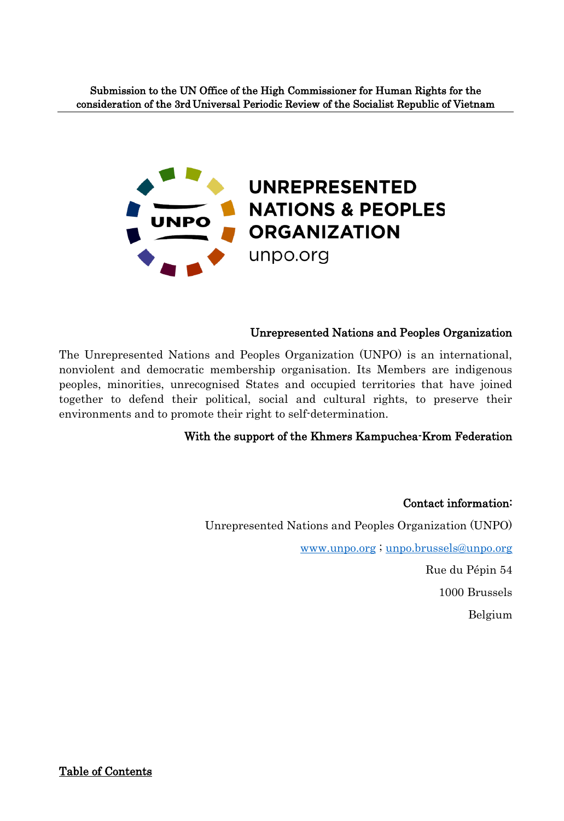

# Unrepresented Nations and Peoples Organization

The Unrepresented Nations and Peoples Organization (UNPO) is an international, nonviolent and democratic membership organisation. Its Members are indigenous peoples, minorities, unrecognised States and occupied territories that have joined together to defend their political, social and cultural rights, to preserve their environments and to promote their right to self-determination.

# With the support of the Khmers Kampuchea-Krom Federation

Contact information: Unrepresented Nations and Peoples Organization (UNPO) [www.unpo.org](http://www.unpo.org/) ; [unpo.brussels@unpo.org](mailto:unpo.brussels@unpo.org) 

Rue du Pépin 54

1000 Brussels

Belgium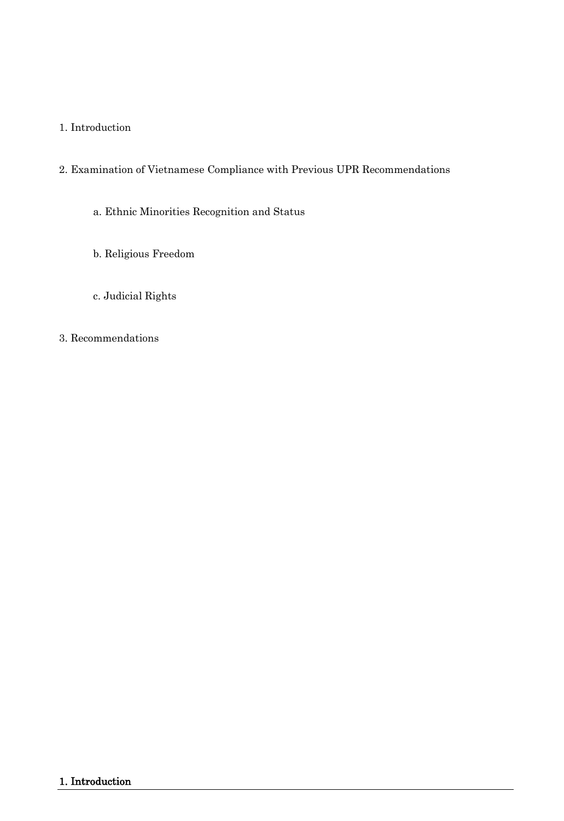# 1. Introduction

# 2. Examination of Vietnamese Compliance with Previous UPR Recommendations

a. Ethnic Minorities Recognition and Status

- b. Religious Freedom
- c. Judicial Rights

## 3. Recommendations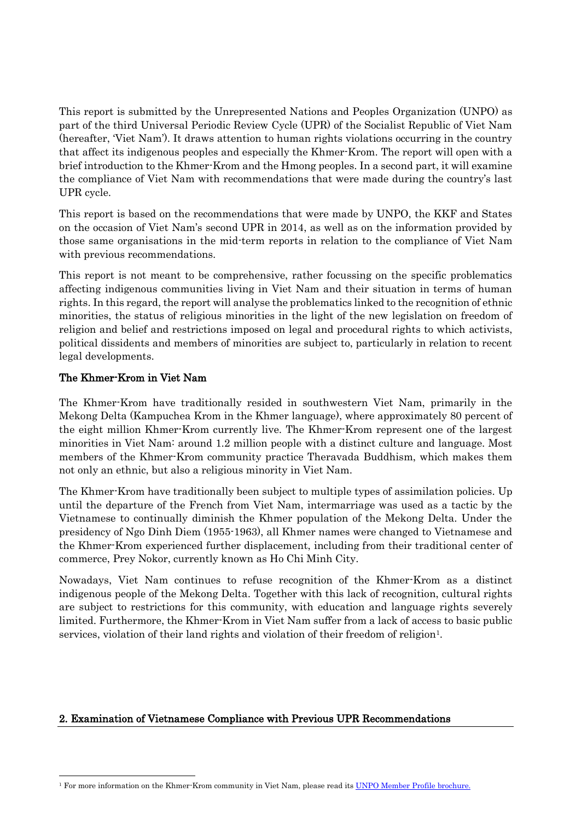This report is submitted by the Unrepresented Nations and Peoples Organization (UNPO) as part of the third Universal Periodic Review Cycle (UPR) of the Socialist Republic of Viet Nam (hereafter, 'Viet Nam'). It draws attention to human rights violations occurring in the country that affect its indigenous peoples and especially the Khmer-Krom. The report will open with a brief introduction to the Khmer-Krom and the Hmong peoples. In a second part, it will examine the compliance of Viet Nam with recommendations that were made during the country's last UPR cycle.

This report is based on the recommendations that were made by UNPO, the KKF and States on the occasion of Viet Nam's second UPR in 2014, as well as on the information provided by those same organisations in the mid-term reports in relation to the compliance of Viet Nam with previous recommendations.

This report is not meant to be comprehensive, rather focussing on the specific problematics affecting indigenous communities living in Viet Nam and their situation in terms of human rights. In this regard, the report will analyse the problematics linked to the recognition of ethnic minorities, the status of religious minorities in the light of the new legislation on freedom of religion and belief and restrictions imposed on legal and procedural rights to which activists, political dissidents and members of minorities are subject to, particularly in relation to recent legal developments.

## The Khmer-Krom in Viet Nam

The Khmer-Krom have traditionally resided in southwestern Viet Nam, primarily in the Mekong Delta (Kampuchea Krom in the Khmer language), where approximately 80 percent of the eight million Khmer-Krom currently live. The Khmer-Krom represent one of the largest minorities in Viet Nam: around 1.2 million people with a distinct culture and language. Most members of the Khmer-Krom community practice Theravada Buddhism, which makes them not only an ethnic, but also a religious minority in Viet Nam.

The Khmer-Krom have traditionally been subject to multiple types of assimilation policies. Up until the departure of the French from Viet Nam, intermarriage was used as a tactic by the Vietnamese to continually diminish the Khmer population of the Mekong Delta. Under the presidency of Ngo Dinh Diem (1955-1963), all Khmer names were changed to Vietnamese and the Khmer-Krom experienced further displacement, including from their traditional center of commerce, Prey Nokor, currently known as Ho Chi Minh City.

Nowadays, Viet Nam continues to refuse recognition of the Khmer-Krom as a distinct indigenous people of the Mekong Delta. Together with this lack of recognition, cultural rights are subject to restrictions for this community, with education and language rights severely limited. Furthermore, the Khmer-Krom in Viet Nam suffer from a lack of access to basic public services, violation of their land rights and violation of their freedom of religion<sup>1</sup>.

## 2. Examination of Vietnamese Compliance with Previous UPR Recommendations

l <sup>1</sup> For more information on the Khmer-Krom community in Viet Nam, please read its [UNPO Member Profile](http://unpo.org/downloads/2372.pdf) brochure.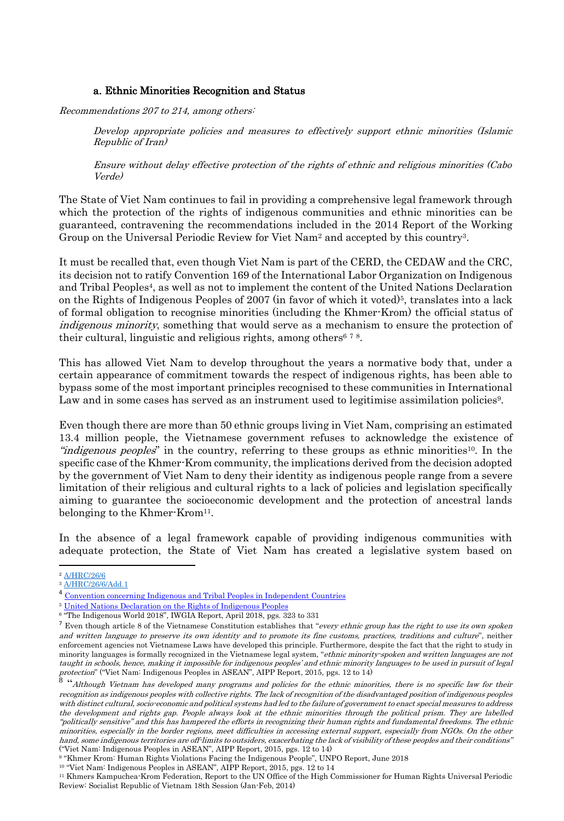#### a. Ethnic Minorities Recognition and Status

Recommendations 207 to 214, among others:

Develop appropriate policies and measures to effectively support ethnic minorities (Islamic Republic of Iran)

Ensure without delay effective protection of the rights of ethnic and religious minorities (Cabo Verde)

The State of Viet Nam continues to fail in providing a comprehensive legal framework through which the protection of the rights of indigenous communities and ethnic minorities can be guaranteed, contravening the recommendations included in the 2014 Report of the Working Group on the Universal Periodic Review for Viet Nam<sup>2</sup> and accepted by this country<sup>3</sup>.

It must be recalled that, even though Viet Nam is part of the CERD, the CEDAW and the CRC, its decision not to ratify Convention 169 of the International Labor Organization on Indigenous and Tribal Peoples<sup>4</sup>, as well as not to implement the content of the United Nations Declaration on the Rights of Indigenous Peoples of 2007 (in favor of which it voted)<sup>5</sup>, translates into a lack of formal obligation to recognise minorities (including the Khmer-Krom) the official status of indigenous minority, something that would serve as a mechanism to ensure the protection of their cultural, linguistic and religious rights, among others<sup>678</sup>.

This has allowed Viet Nam to develop throughout the years a normative body that, under a certain appearance of commitment towards the respect of indigenous rights, has been able to bypass some of the most important principles recognised to these communities in International Law and in some cases has served as an instrument used to legitimise assimilation policies<sup>9</sup>.

Even though there are more than 50 ethnic groups living in Viet Nam, comprising an estimated 13.4 million people, the Vietnamese government refuses to acknowledge the existence of "*indigenous peoples*" in the country, referring to these groups as ethnic minorities<sup>10</sup>. In the specific case of the Khmer-Krom community, the implications derived from the decision adopted by the government of Viet Nam to deny their identity as indigenous people range from a severe limitation of their religious and cultural rights to a lack of policies and legislation specifically aiming to guarantee the socioeconomic development and the protection of ancestral lands belonging to the Khmer-Krom<sup>11</sup>.

In the absence of a legal framework capable of providing indigenous communities with adequate protection, the State of Viet Nam has created a legislative system based on

 $\overline{a}$ 

<sup>2</sup> [A/HRC/26/6](http://daccess-ods.un.org/access.nsf/Get?Open&DS=A/HRC/26/6&Lang=E)

<sup>&</sup>lt;sup>3</sup> [A/HRC/26/6/Add.1](https://documents-dds-ny.un.org/doc/UNDOC/GEN/G14/059/36/PDF/G1405936.pdf?OpenElement)

<sup>4</sup> [Convention concerning Indigenous and Tribal Peoples in Independent Countries](http://www.ilo.org/dyn/normlex/en/f?p=NORMLEXPUB:12100:0::NO::P12100_ILO_CODE:C169)

<sup>5</sup> [United Nations Declaration on the Rights of Indigenous Peoples](https://www.un.org/development/desa/indigenouspeoples/declaration-on-the-rights-of-indigenous-peoples.html)

<sup>6</sup> "The Indigenous World 2018", IWGIA Report, April 2018, pgs. 323 to 331

<sup>&</sup>lt;sup>7</sup> Even though article 8 of the Vietnamese Constitution establishes that "every ethnic group has the right to use its own spoken and written language to preserve its own identity and to promote its fine customs, practices, traditions and culture", neither enforcement agencies not Vietnamese Laws have developed this principle. Furthermore, despite the fact that the right to study in minority languages is formally recognized in the Vietnamese legal system, "*ethnic minority-spoken and written languages are not* taught in schools, hence, making it impossible for indigenous peoples' and ethnic minority languages to be used in pursuit of legal protection" ("Viet Nam: Indigenous Peoples in ASEAN", AIPP Report, 2015, pgs. 12 to 14)

<sup>8</sup> "Although Vietnam has developed many programs and policies for the ethnic minorities, there is no specific law for their recognition as indigenous peoples with collective rights. The lack of recognition of the disadvantaged position of indigenous peoples with distinct cultural, socio-economic and political systems had led to the failure of government to enact special measures to address the development and rights gap. People always look at the ethnic minorities through the political prism. They are labelled "politically sensitive" and this has hampered the efforts in recognizing their human rights and fundamental freedoms. The ethnic minorities, especially in the border regions, meet difficulties in accessing external support, especially from NGOs. On the other hand, some indigenous territories are off-limits to outsiders, exacerbating the lack of visibility of these peoples and their conditions" ("Viet Nam: Indigenous Peoples in ASEAN", AIPP Report, 2015, pgs. 12 to 14)

<sup>9</sup> "Khmer Krom: Human Rights Violations Facing the Indigenous People", UNPO Report, June 2018

<sup>10</sup> "Viet Nam: Indigenous Peoples in ASEAN", AIPP Report, 2015, pgs. 12 to 14

<sup>11</sup> Khmers Kampuchea-Krom Federation, Report to the UN Office of the High Commissioner for Human Rights Universal Periodic Review: Socialist Republic of Vietnam 18th Session (Jan-Feb, 2014)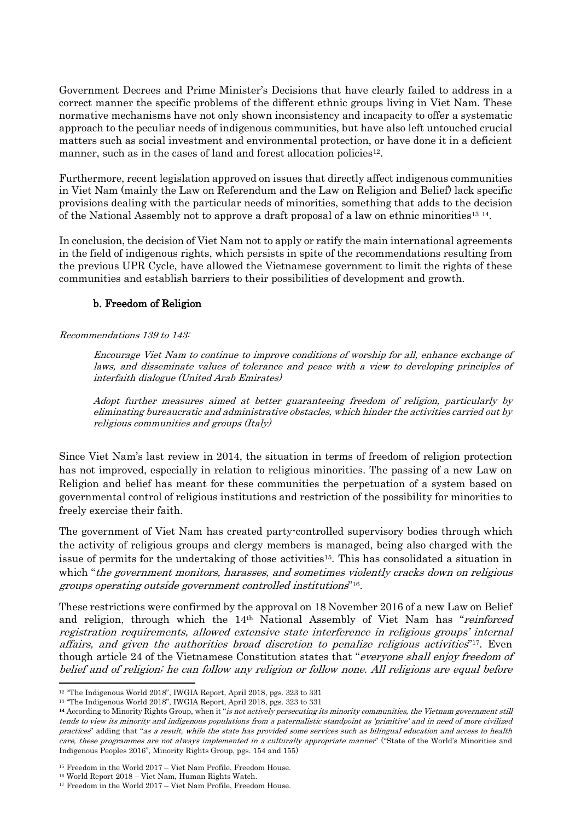Government Decrees and Prime Minister's Decisions that have clearly failed to address in a correct manner the specific problems of the different ethnic groups living in Viet Nam. These normative mechanisms have not only shown inconsistency and incapacity to offer a systematic approach to the peculiar needs of indigenous communities, but have also left untouched crucial matters such as social investment and environmental protection, or have done it in a deficient manner, such as in the cases of land and forest allocation policies<sup>12</sup>.

Furthermore, recent legislation approved on issues that directly affect indigenous communities in Viet Nam (mainly the Law on Referendum and the Law on Religion and Belief) lack specific provisions dealing with the particular needs of minorities, something that adds to the decision of the National Assembly not to approve a draft proposal of a law on ethnic minorities<sup>13</sup><sup>14</sup>.

In conclusion, the decision of Viet Nam not to apply or ratify the main international agreements in the field of indigenous rights, which persists in spite of the recommendations resulting from the previous UPR Cycle, have allowed the Vietnamese government to limit the rights of these communities and establish barriers to their possibilities of development and growth.

## b. Freedom of Religion

### Recommendations 139 to 143:

Encourage Viet Nam to continue to improve conditions of worship for all, enhance exchange of laws, and disseminate values of tolerance and peace with a view to developing principles of interfaith dialogue (United Arab Emirates)

Adopt further measures aimed at better guaranteeing freedom of religion, particularly by eliminating bureaucratic and administrative obstacles, which hinder the activities carried out by religious communities and groups (Italy)

Since Viet Nam's last review in 2014, the situation in terms of freedom of religion protection has not improved, especially in relation to religious minorities. The passing of a new Law on Religion and belief has meant for these communities the perpetuation of a system based on governmental control of religious institutions and restriction of the possibility for minorities to freely exercise their faith.

The government of Viet Nam has created party-controlled supervisory bodies through which the activity of religious groups and clergy members is managed, being also charged with the issue of permits for the undertaking of those activities<sup>15</sup>. This has consolidated a situation in which "the government monitors, harasses, and sometimes violently cracks down on religious groups operating outside government controlled institutions" 16 .

These restrictions were confirmed by the approval on 18 November 2016 of a new Law on Belief and religion, through which the  $14<sup>th</sup>$  National Assembly of Viet Nam has "reinforced registration requirements, allowed extensive state interference in religious groups' internal affairs, and given the authorities broad discretion to penalize religious activities<sup>"17</sup>. Even though article 24 of the Vietnamese Constitution states that "everyone shall enjoy freedom of belief and of religion; he can follow any religion or follow none. All religions are equal before

 $\overline{a}$ <sup>12</sup> "The Indigenous World 2018", IWGIA Report, April 2018, pgs. 323 to 331

<sup>&</sup>lt;sup>13</sup> "The Indigenous World 2018", IWGIA Report, April 2018, pgs. 323 to 331

<sup>&</sup>lt;sup>14</sup> According to Minority Rights Group, when it "is not actively persecuting its minority communities, the Vietnam government still tends to view its minority and indigenous populations from a paternalistic standpoint as 'primitive' and in need of more civilized practices" adding that "as a result, while the state has provided some services such as bilingual education and access to health care, these programmes are not always implemented in a culturally appropriate manner" ("State of the World's Minorities and Indigenous Peoples 2016", Minority Rights Group, pgs. 154 and 155)

<sup>15</sup> Freedom in the World 2017 – Viet Nam Profile, Freedom House.

<sup>16</sup> World Report 2018 – Viet Nam, Human Rights Watch.

<sup>17</sup> Freedom in the World 2017 – Viet Nam Profile, Freedom House.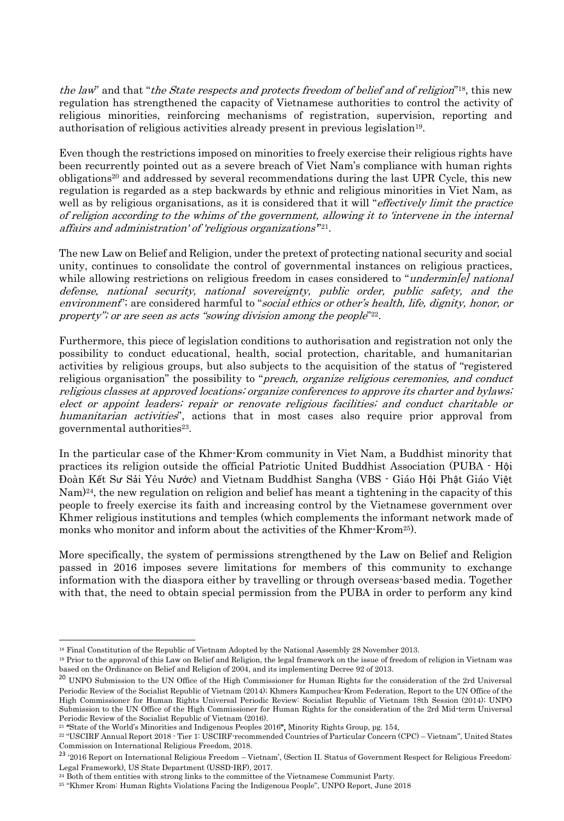the law" and that "the State respects and protects freedom of belief and of religion"<sup>18</sup>, this new regulation has strengthened the capacity of Vietnamese authorities to control the activity of religious minorities, reinforcing mechanisms of registration, supervision, reporting and authorisation of religious activities already present in previous legislation<sup>19</sup>.

Even though the restrictions imposed on minorities to freely exercise their religious rights have been recurrently pointed out as a severe breach of Viet Nam's compliance with human rights obligations<sup>20</sup> and addressed by several recommendations during the last UPR Cycle, this new regulation is regarded as a step backwards by ethnic and religious minorities in Viet Nam, as well as by religious organisations, as it is considered that it will "*effectively limit the practice* of religion according to the whims of the government, allowing it to 'intervene in the internal affairs and administration' of 'religious organizations'" 21 .

The new Law on Belief and Religion, under the pretext of protecting national security and social unity, continues to consolidate the control of governmental instances on religious practices, while allowing restrictions on religious freedom in cases considered to "*undermin[e] national* defense, national security, national sovereignty, public order, public safety, and the environment"; are considered harmful to "social ethics or other's health, life, dignity, honor, or property"; or are seen as acts "sowing division among the people"<sup>22</sup>.

Furthermore, this piece of legislation conditions to authorisation and registration not only the possibility to conduct educational, health, social protection, charitable, and humanitarian activities by religious groups, but also subjects to the acquisition of the status of "registered religious organisation" the possibility to "preach, organize religious ceremonies, and conduct religious classes at approved locations; organize conferences to approve its charter and bylaws; elect or appoint leaders; repair or renovate religious facilities; and conduct charitable or humanitarian activities", actions that in most cases also require prior approval from governmental authorities<sup>23</sup>.

In the particular case of the Khmer-Krom community in Viet Nam, a Buddhist minority that practices its religion outside the official Patriotic United Buddhist Association (PUBA - Hội Đoàn Kết Sư Sải Yêu Nước) and Vietnam Buddhist Sangha (VBS - Giáo Hội Phật Giáo Việt Nam)24, the new regulation on religion and belief has meant a tightening in the capacity of this people to freely exercise its faith and increasing control by the Vietnamese government over Khmer religious institutions and temples (which complements the informant network made of monks who monitor and inform about the activities of the Khmer-Krom25).

More specifically, the system of permissions strengthened by the Law on Belief and Religion passed in 2016 imposes severe limitations for members of this community to exchange information with the diaspora either by travelling or through overseas-based media. Together with that, the need to obtain special permission from the PUBA in order to perform any kind

 $\overline{\phantom{a}}$ 

<sup>18</sup> Final Constitution of the Republic of Vietnam Adopted by the National Assembly 28 November 2013.

<sup>19</sup> Prior to the approval of this Law on Belief and Religion, the legal framework on the issue of freedom of religion in Vietnam was based on the Ordinance on Belief and Religion of 2004, and its implementing Decree 92 of 2013.

<sup>&</sup>lt;sup>20</sup> UNPO Submission to the UN Office of the High Commissioner for Human Rights for the consideration of the 2rd Universal Periodic Review of the Socialist Republic of Vietnam (2014); Khmers Kampuchea-Krom Federation, Report to the UN Office of the High Commissioner for Human Rights Universal Periodic Review: Socialist Republic of Vietnam 18th Session (2014); UNPO Submission to the UN Office of the High Commissioner for Human Rights for the consideration of the 2rd Mid-term Universal Periodic Review of the Socialist Republic of Vietnam (2016).

<sup>&</sup>lt;sup>21</sup> "State of the World's Minorities and Indigenous Peoples 2016", Minority Rights Group, pg. 154.

<sup>22</sup> "USCIRF Annual Report 2018 - Tier 1: USCIRF-recommended Countries of Particular Concern (CPC) – Vietnam", United States Commission on International Religious Freedom, 2018.

<sup>&</sup>lt;sup>23</sup> '2016 Report on International Religious Freedom – Vietnam', (Section II. Status of Government Respect for Religious Freedom<sup>:</sup> Legal Framework), US State Department (USSD-IRF), 2017.

<sup>&</sup>lt;sup>24</sup> Both of them entities with strong links to the committee of the Vietnamese Communist Party.

<sup>25</sup> "Khmer Krom: Human Rights Violations Facing the Indigenous People", UNPO Report, June 2018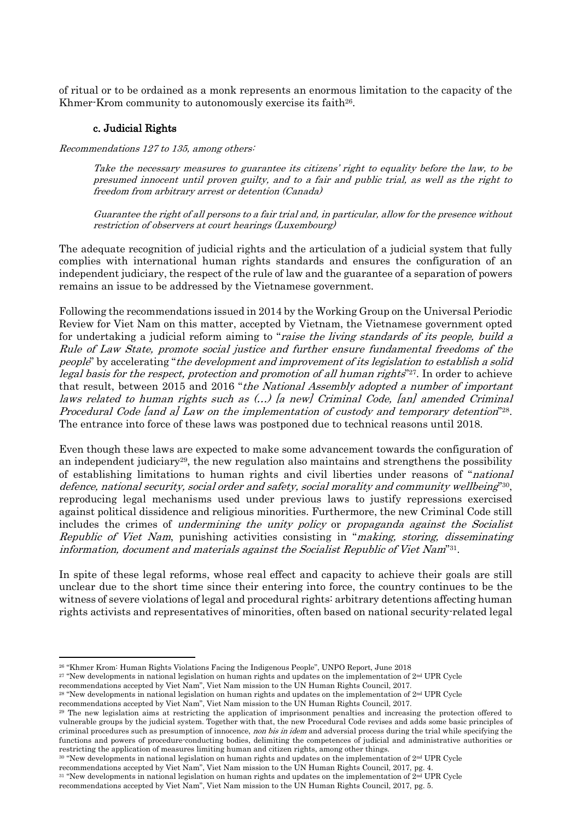of ritual or to be ordained as a monk represents an enormous limitation to the capacity of the Khmer-Krom community to autonomously exercise its faith<sup>26</sup>.

### c. Judicial Rights

Recommendations 127 to 135, among others:

Take the necessary measures to guarantee its citizens' right to equality before the law, to be presumed innocent until proven guilty, and to a fair and public trial, as well as the right to freedom from arbitrary arrest or detention (Canada)

Guarantee the right of all persons to a fair trial and, in particular, allow for the presence without restriction of observers at court hearings (Luxembourg)

The adequate recognition of judicial rights and the articulation of a judicial system that fully complies with international human rights standards and ensures the configuration of an independent judiciary, the respect of the rule of law and the guarantee of a separation of powers remains an issue to be addressed by the Vietnamese government.

Following the recommendations issued in 2014 by the Working Group on the Universal Periodic Review for Viet Nam on this matter, accepted by Vietnam, the Vietnamese government opted for undertaking a judicial reform aiming to "*raise the living standards of its people, build a* Rule of Law State, promote social justice and further ensure fundamental freedoms of the people" by accelerating "the development and improvement of its legislation to establish a solid legal basis for the respect, protection and promotion of all human rights"<sup>27</sup>. In order to achieve that result, between 2015 and 2016 "the National Assembly adopted a number of important laws related to human rights such as (…) [a new] Criminal Code, [an] amended Criminal Procedural Code [and a] Law on the implementation of custody and temporary detention<sup>"28</sup>. The entrance into force of these laws was postponed due to technical reasons until 2018.

Even though these laws are expected to make some advancement towards the configuration of an independent judiciary<sup>29</sup>, the new regulation also maintains and strengthens the possibility of establishing limitations to human rights and civil liberties under reasons of "national defence, national security, social order and safety, social morality and community wellbeing"<sup>30</sup>, reproducing legal mechanisms used under previous laws to justify repressions exercised against political dissidence and religious minorities. Furthermore, the new Criminal Code still includes the crimes of undermining the unity policy or propaganda against the Socialist Republic of Viet Nam, punishing activities consisting in "making, storing, disseminating information, document and materials against the Socialist Republic of Viet Nam"31.

In spite of these legal reforms, whose real effect and capacity to achieve their goals are still unclear due to the short time since their entering into force, the country continues to be the witness of severe violations of legal and procedural rights: arbitrary detentions affecting human rights activists and representatives of minorities, often based on national security-related legal

 $\overline{\phantom{a}}$ 

<sup>30</sup> "New developments in national legislation on human rights and updates on the implementation of 2nd UPR Cycle

<sup>26</sup> "Khmer Krom: Human Rights Violations Facing the Indigenous People", UNPO Report, June 2018

<sup>&</sup>lt;sup>27</sup> "New developments in national legislation on human rights and updates on the implementation of 2<sup>nd</sup> UPR Cycle

recommendations accepted by Viet Nam", Viet Nam mission to the UN Human Rights Council, 2017.

 $28$  "New developments in national legislation on human rights and updates on the implementation of  $2<sup>nd</sup>$  UPR Cycle

recommendations accepted by Viet Nam", Viet Nam mission to the UN Human Rights Council, 2017.

<sup>29</sup> The new legislation aims at restricting the application of imprisonment penalties and increasing the protection offered to vulnerable groups by the judicial system. Together with that, the new Procedural Code revises and adds some basic principles of criminal procedures such as presumption of innocence, *non bis in idem* and adversial process during the trial while specifying the functions and powers of procedure-conducting bodies, delimiting the competences of judicial and administrative authorities or restricting the application of measures limiting human and citizen rights, among other things.

recommendations accepted by Viet Nam", Viet Nam mission to the UN Human Rights Council, 2017, pg. 4.

<sup>&</sup>lt;sup>31</sup> "New developments in national legislation on human rights and updates on the implementation of 2<sup>nd</sup> UPR Cycle

recommendations accepted by Viet Nam", Viet Nam mission to the UN Human Rights Council, 2017, pg. 5.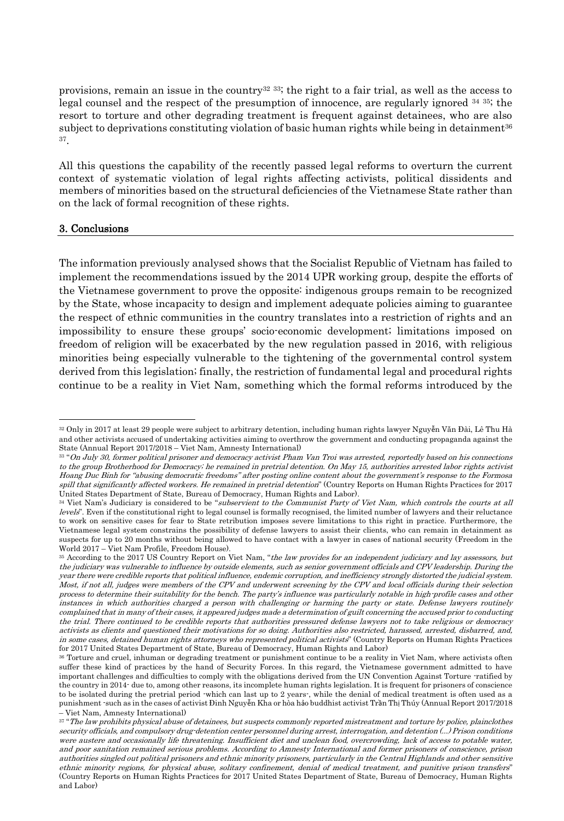provisions, remain an issue in the country<sup>32 33</sup>; the right to a fair trial, as well as the access to legal counsel and the respect of the presumption of innocence, are regularly ignored <sup>34</sup> <sup>35</sup>; the resort to torture and other degrading treatment is frequent against detainees, who are also subject to deprivations constituting violation of basic human rights while being in detainment<sup>36</sup> 37 .

All this questions the capability of the recently passed legal reforms to overturn the current context of systematic violation of legal rights affecting activists, political dissidents and members of minorities based on the structural deficiencies of the Vietnamese State rather than on the lack of formal recognition of these rights.

#### 3. Conclusions

 $\overline{\phantom{a}}$ 

The information previously analysed shows that the Socialist Republic of Vietnam has failed to implement the recommendations issued by the 2014 UPR working group, despite the efforts of the Vietnamese government to prove the opposite: indigenous groups remain to be recognized by the State, whose incapacity to design and implement adequate policies aiming to guarantee the respect of ethnic communities in the country translates into a restriction of rights and an impossibility to ensure these groups' socio-economic development; limitations imposed on freedom of religion will be exacerbated by the new regulation passed in 2016, with religious minorities being especially vulnerable to the tightening of the governmental control system derived from this legislation; finally, the restriction of fundamental legal and procedural rights continue to be a reality in Viet Nam, something which the formal reforms introduced by the

<sup>32</sup> Only in 2017 at least 29 people were subject to arbitrary detention, including human rights lawyer Nguyễn Văn Đài, Lê Thu Hà and other activists accused of undertaking activities aiming to overthrow the government and conducting propaganda against the State (Annual Report 2017/2018 – Viet Nam, Amnesty International)

<sup>33</sup> "On July 30, former political prisoner and democracy activist Pham Van Troi was arrested, reportedly based on his connections to the group Brotherhood for Democracy; he remained in pretrial detention. On May 15, authorities arrested labor rights activist Hoang Duc Binh for "abusing democratic freedoms" after posting online content about the government's response to the Formosa spill that significantly affected workers. He remained in pretrial detention" (Country Reports on Human Rights Practices for 2017 United States Department of State, Bureau of Democracy, Human Rights and Labor).

<sup>&</sup>lt;sup>34</sup> Viet Nam's Judiciary is considered to be "subservient to the Communist Party of Viet Nam, which controls the courts at all levels". Even if the constitutional right to legal counsel is formally recognised, the limited number of lawyers and their reluctance to work on sensitive cases for fear to State retribution imposes severe limitations to this right in practice. Furthermore, the Vietnamese legal system constrains the possibility of defense lawyers to assist their clients, who can remain in detainment as suspects for up to 20 months without being allowed to have contact with a lawyer in cases of national security (Freedom in the World 2017 – Viet Nam Profile, Freedom House).

<sup>&</sup>lt;sup>35</sup> According to the 2017 US Country Report on Viet Nam, "the law provides for an independent judiciary and lay assessors, but the judiciary was vulnerable to influence by outside elements, such as senior government officials and CPV leadership. During the year there were credible reports that political influence, endemic corruption, and inefficiency strongly distorted the judicial system. Most, if not all, judges were members of the CPV and underwent screening by the CPV and local officials during their selection process to determine their suitability for the bench. The party's influence was particularly notable in high-profile cases and other instances in which authorities charged a person with challenging or harming the party or state. Defense lawyers routinely complained that in many of their cases, it appeared judges made a determination of guilt concerning the accused prior to conducting the trial. There continued to be credible reports that authorities pressured defense lawyers not to take religious or democracy activists as clients and questioned their motivations for so doing. Authorities also restricted, harassed, arrested, disbarred, and, in some cases, detained human rights attorneys who represented political activists" (Country Reports on Human Rights Practices for 2017 United States Department of State, Bureau of Democracy, Human Rights and Labor)

<sup>36</sup> Torture and cruel, inhuman or degrading treatment or punishment continue to be a reality in Viet Nam, where activists often suffer these kind of practices by the hand of Security Forces. In this regard, the Vietnamese government admitted to have important challenges and difficulties to comply with the obligations derived from the UN Convention Against Torture -ratified by the country in 2014- due to, among other reasons, its incomplete human rights legislation. It is frequent for prisoners of conscience to be isolated during the pretrial period -which can last up to 2 years-, while the denial of medical treatment is often used as a punishment -such as in the cases of activist Đinh Nguyễn Kha or hòa hảo buddhist activist Trần Thị Thúy (Annual Report 2017/2018 – Viet Nam, Amnesty International)

<sup>37 &</sup>quot;The law prohibits physical abuse of detainees, but suspects commonly reported mistreatment and torture by police, plainclothes security officials, and compulsory drug-detention center personnel during arrest, interrogation, and detention (...) Prison conditions were austere and occasionally life threatening. Insufficient diet and unclean food, overcrowding, lack of access to potable water, and poor sanitation remained serious problems. According to Amnesty International and former prisoners of conscience, prison authorities singled out political prisoners and ethnic minority prisoners, particularly in the Central Highlands and other sensitive ethnic minority regions, for physical abuse, solitary confinement, denial of medical treatment, and punitive prison transfers" (Country Reports on Human Rights Practices for 2017 United States Department of State, Bureau of Democracy, Human Rights and Labor)